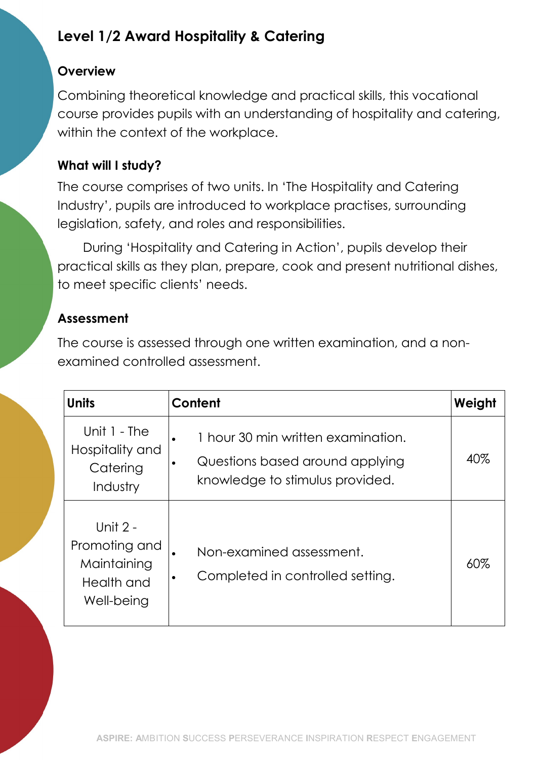# Level 1/2 Award Hospitality & Catering

#### **Overview**

Combining theoretical knowledge and practical skills, this vocational course provides pupils with an understanding of hospitality and catering, within the context of the workplace.

## What will I study?

The course comprises of two units. In 'The Hospitality and Catering Industry', pupils are introduced to workplace practises, surrounding legislation, safety, and roles and responsibilities.

During 'Hospitality and Catering in Action', pupils develop their practical skills as they plan, prepare, cook and present nutritional dishes, to meet specific clients' needs.

## Assessment

The course is assessed through one written examination, and a nonexamined controlled assessment.

| <b>Units</b>                                                           | Content                                                                                                               | Weight |
|------------------------------------------------------------------------|-----------------------------------------------------------------------------------------------------------------------|--------|
| Unit 1 - The<br>Hospitality and<br>Catering<br>Industry                | 1 hour 30 min written examination.<br>$\bullet$<br>Questions based around applying<br>knowledge to stimulus provided. | 40%    |
| Unit $2 -$<br>Promoting and<br>Maintaining<br>Health and<br>Well-being | Non-examined assessment.<br>Completed in controlled setting.                                                          | 60%    |